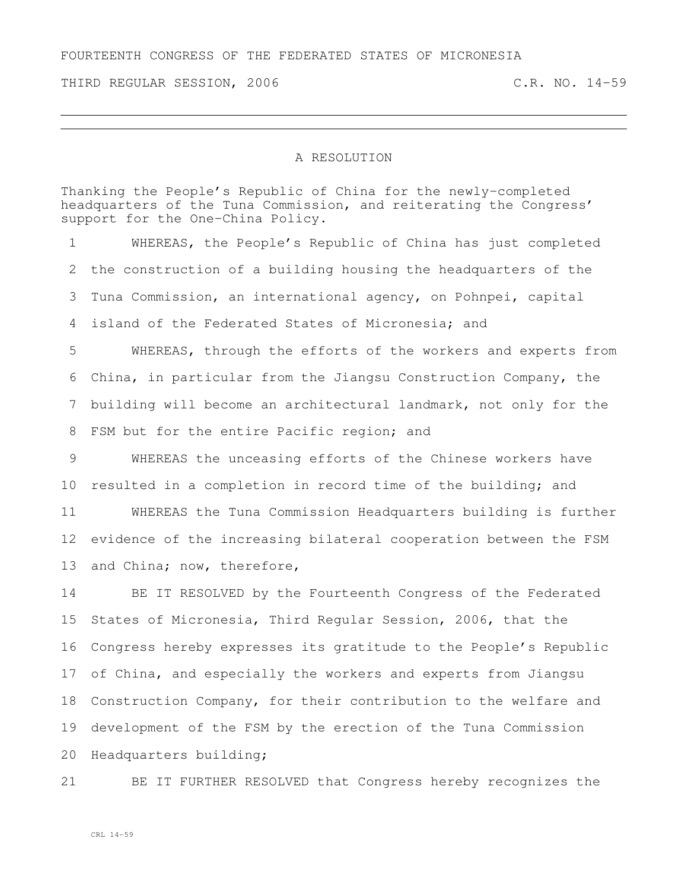THIRD REGULAR SESSION, 2006 C.R. NO. 14-59

## A RESOLUTION

Thanking the People's Republic of China for the newly-completed headquarters of the Tuna Commission, and reiterating the Congress' support for the One-China Policy.

 WHEREAS, the People's Republic of China has just completed the construction of a building housing the headquarters of the Tuna Commission, an international agency, on Pohnpei, capital island of the Federated States of Micronesia; and WHEREAS, through the efforts of the workers and experts from China, in particular from the Jiangsu Construction Company, the building will become an architectural landmark, not only for the

8 FSM but for the entire Pacific region; and

 WHEREAS the unceasing efforts of the Chinese workers have resulted in a completion in record time of the building; and

 WHEREAS the Tuna Commission Headquarters building is further evidence of the increasing bilateral cooperation between the FSM and China; now, therefore,

 BE IT RESOLVED by the Fourteenth Congress of the Federated States of Micronesia, Third Regular Session, 2006, that the Congress hereby expresses its gratitude to the People's Republic of China, and especially the workers and experts from Jiangsu Construction Company, for their contribution to the welfare and development of the FSM by the erection of the Tuna Commission Headquarters building;

BE IT FURTHER RESOLVED that Congress hereby recognizes the